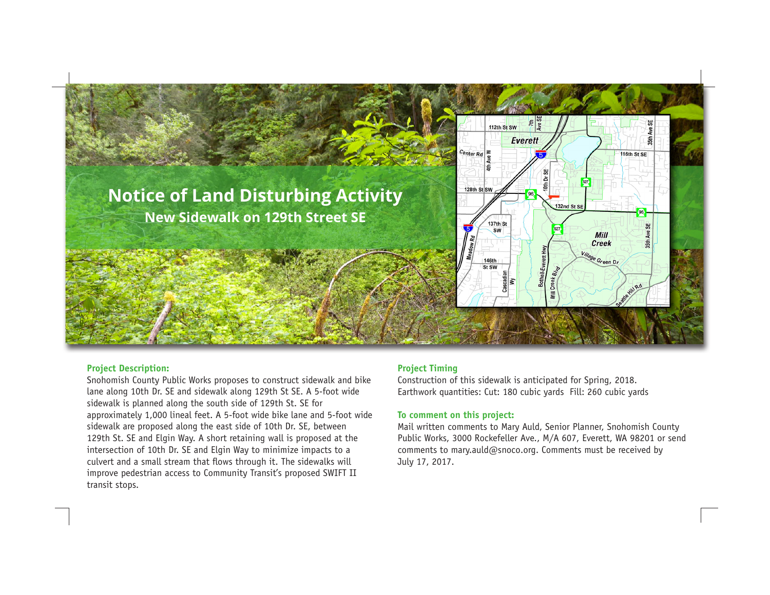

### **Project Description:**

Snohomish County Public Works proposes to construct sidewalk and bike lane along 10th Dr. SE and sidewalk along 129th St SE. A 5-foot wide sidewalk is planned along the south side of 129th St. SE for approximately 1,000 lineal feet. A 5-foot wide bike lane and 5-foot wide sidewalk are proposed along the east side of 10th Dr. SE, between 129th St. SE and Elgin Way. A short retaining wall is proposed at the intersection of 10th Dr. SE and Elgin Way to minimize impacts to a culvert and a small stream that flows through it. The sidewalks will improve pedestrian access to Community Transit's proposed SWIFT II transit stops.

# **Project Timing**

Construction of this sidewalk is anticipated for Spring, 2018. Earthwork quantities: Cut: 180 cubic yards Fill: 260 cubic yards

## **To comment on this project:**

Mail written comments to Mary Auld, Senior Planner, Snohomish County Public Works, 3000 Rockefeller Ave., M/A 607, Everett, WA 98201 or send comments to mary.auld@snoco.org. Comments must be received by July 17, 2017.